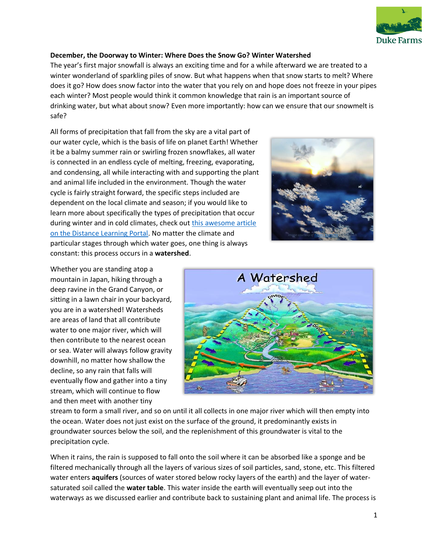

# **December, the Doorway to Winter: Where Does the Snow Go? Winter Watershed**

The year's first major snowfall is always an exciting time and for a while afterward we are treated to a winter wonderland of sparkling piles of snow. But what happens when that snow starts to melt? Where does it go? How does snow factor into the water that you rely on and hope does not freeze in your pipes each winter? Most people would think it common knowledge that rain is an important source of drinking water, but what about snow? Even more importantly: how can we ensure that our snowmelt is safe?

All forms of precipitation that fall from the sky are a vital part of our water cycle, which is the basis of life on planet Earth! Whether it be a balmy summer rain or swirling frozen snowflakes, all water is connected in an endless cycle of melting, freezing, evaporating, and condensing, all while interacting with and supporting the plant and animal life included in the environment. Though the water cycle is fairly straight forward, the specific steps included are dependent on the local climate and season; if you would like to learn more about specifically the types of precipitation that occur during winter and in cold climates, check out [this awesome article](https://www.dukefarms.org/making-an-impact/distance-learning/DEC-precipitation/)  [on the Distance Learning Portal.](https://www.dukefarms.org/making-an-impact/distance-learning/DEC-precipitation/) No matter the climate and particular stages through which water goes, one thing is always constant: this process occurs in a **watershed**.



Whether you are standing atop a mountain in Japan, hiking through a deep ravine in the Grand Canyon, or sitting in a lawn chair in your backyard, you are in a watershed! Watersheds are areas of land that all contribute water to one major river, which will then contribute to the nearest ocean or sea. Water will always follow gravity downhill, no matter how shallow the decline, so any rain that falls will eventually flow and gather into a tiny stream, which will continue to flow and then meet with another tiny



stream to form a small river, and so on until it all collects in one major river which will then empty into the ocean. Water does not just exist on the surface of the ground, it predominantly exists in groundwater sources below the soil, and the replenishment of this groundwater is vital to the precipitation cycle.

When it rains, the rain is supposed to fall onto the soil where it can be absorbed like a sponge and be filtered mechanically through all the layers of various sizes of soil particles, sand, stone, etc. This filtered water enters **aquifers** (sources of water stored below rocky layers of the earth) and the layer of watersaturated soil called the **water table**. This water inside the earth will eventually seep out into the waterways as we discussed earlier and contribute back to sustaining plant and animal life. The process is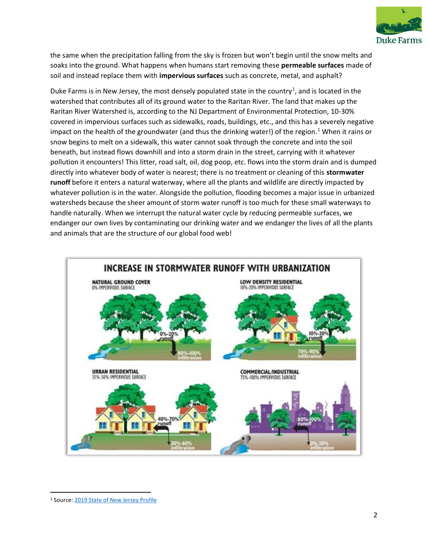

the same when the precipitation falling from the sky is frozen but won't begin until the snow melts and soaks into the ground. What happens when humans start removing these **permeable surfaces** made of soil and instead replace them with **impervious surfaces** such as concrete, metal, and asphalt?

Duke Farms is in New Jersey, the most densely populated state in the country<sup>1</sup>, and is located in the watershed that contributes all of its ground water to the Raritan River. The land that makes up the Raritan River Watershed is, according to the NJ Department of Environmental Protection, 10-30% covered in impervious surfaces such as sidewalks, roads, buildings, etc., and this has a severely negative impact on the health of the groundwater (and thus the drinking water!) of the region.<sup>1</sup> When it rains or snow begins to melt on a sidewalk, this water cannot soak through the concrete and into the soil beneath, but instead flows downhill and into a storm drain in the street, carrying with it whatever pollution it encounters! This litter, road salt, oil, dog poop, etc. flows into the storm drain and is dumped directly into whatever body of water is nearest; there is no treatment or cleaning of this **stormwater runoff** before it enters a natural waterway, where all the plants and wildlife are directly impacted by whatever pollution is in the water. Alongside the pollution, flooding becomes a major issue in urbanized watersheds because the sheer amount of storm water runoff is too much for these small waterways to handle naturally. When we interrupt the natural water cycle by reducing permeable surfaces, we endanger our own lives by contaminating our drinking water and we endanger the lives of all the plants and animals that are the structure of our global food web!



<sup>1</sup> Source[: 2019 State of New Jersey Profile](http://ready.nj.gov/mitigation/pdf/2019/mit2019_section4_State_Profile.pdf)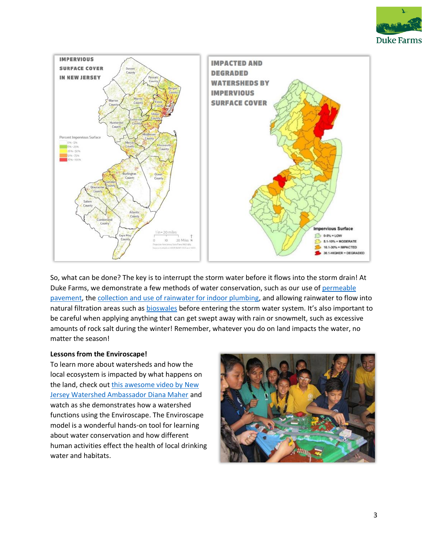



So, what can be done? The key is to interrupt the storm water before it flows into the storm drain! At Duke Farms, we demonstrate a few methods of water conservation, such as our use of [permeable](https://www.dukefarms.org/siteassets/documents/making-an-impact/distance-learning-resources/ss---permeable-pavement.pdf)  [pavement,](https://www.dukefarms.org/siteassets/documents/making-an-impact/distance-learning-resources/ss---permeable-pavement.pdf) the [collection and use of rainwater for indoor plumbing,](https://www.youtube.com/embed/IBf9h3ewvh4?t=1s) and allowing rainwater to flow into natural filtration areas such as [bioswales](https://www.dukefarms.org/making-an-impact/distance-learning/ss-bioswales/) before entering the storm water system. It's also important to be careful when applying anything that can get swept away with rain or snowmelt, such as excessive amounts of rock salt during the winter! Remember, whatever you do on land impacts the water, no matter the season!

## **Lessons from the Enviroscape!**

To learn more about watersheds and how the local ecosystem is impacted by what happens on the land, check out this awesome video by New [Jersey Watershed Ambassador Diana Maher](https://www.youtube.com/embed/zCvRNlAHJyc) and watch as she demonstrates how a watershed functions using the Enviroscape. The Enviroscape model is a wonderful hands-on tool for learning about water conservation and how different human activities effect the health of local drinking water and habitats.

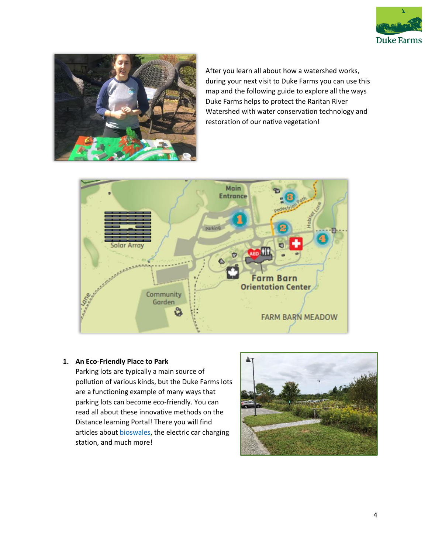



After you learn all about how a watershed works, during your next visit to Duke Farms you can use this map and the following guide to explore all the ways Duke Farms helps to protect the Raritan River Watershed with water conservation technology and restoration of our native vegetation!



## **1. An Eco-Friendly Place to Park**

Parking lots are typically a main source of pollution of various kinds, but the Duke Farms lots are a functioning example of many ways that parking lots can become eco-friendly. You can read all about these innovative methods on the Distance learning Portal! There you will find articles about **bioswales**, the electric car charging station, and much more!

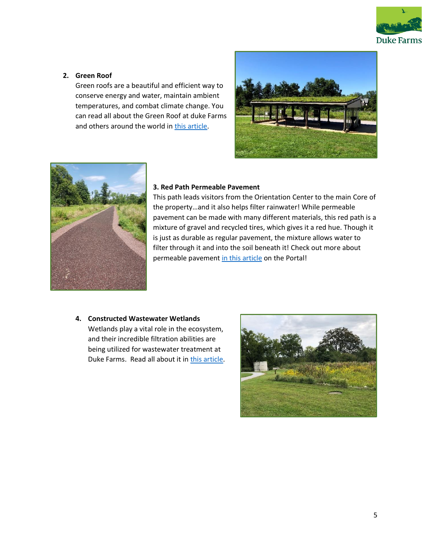

## **2. Green Roof**

Green roofs are a beautiful and efficient way to conserve energy and water, maintain ambient temperatures, and combat climate change. You can read all about the Green Roof at duke Farms and others around the world in [this article.](https://www.dukefarms.org/making-an-impact/distance-learning/ss-greenroof/)





#### **3. Red Path Permeable Pavement**

This path leads visitors from the Orientation Center to the main Core of the property…and it also helps filter rainwater! While permeable pavement can be made with many different materials, this red path is a mixture of gravel and recycled tires, which gives it a red hue. Though it is just as durable as regular pavement, the mixture allows water to filter through it and into the soil beneath it! Check out more about permeable pavement [in this article](https://www.dukefarms.org/making-an-impact/distance-learning/ss-permeablepavement/) on the Portal!

### **4. Constructed Wastewater Wetlands**

Wetlands play a vital role in the ecosystem, and their incredible filtration abilities are being utilized for wastewater treatment at Duke Farms. Read all about it in [this article.](https://www.dukefarms.org/making-an-impact/distance-learning/ss-constructedwetlands/)

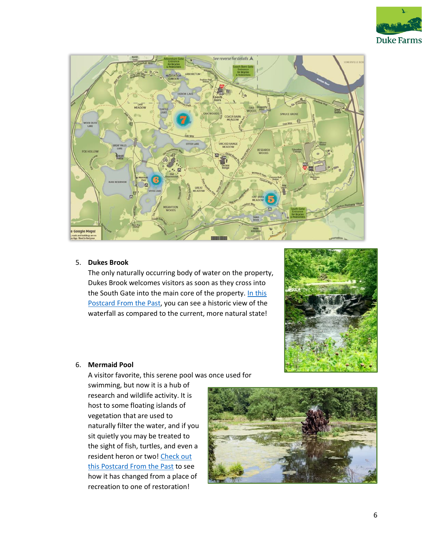



### 5. **Dukes Brook**

The only naturally occurring body of water on the property, Dukes Brook welcomes visitors as soon as they cross into the South Gate into the main core of the property. In this [Postcard From the Past,](https://www.dukefarms.org/making-an-impact/distance-learning/postcards-from-the-past-week-26/) you can see a historic view of the waterfall as compared to the current, more natural state!



### 6. **Mermaid Pool**

A visitor favorite, this serene pool was once used for

swimming, but now it is a hub of research and wildlife activity. It is host to some floating islands of vegetation that are used to naturally filter the water, and if you sit quietly you may be treated to the sight of fish, turtles, and even a resident heron or two! Check out [this Postcard From the Past](https://www.dukefarms.org/making-an-impact/distance-learning/postcards-from-the-past-week-6/) to see how it has changed from a place of recreation to one of restoration!